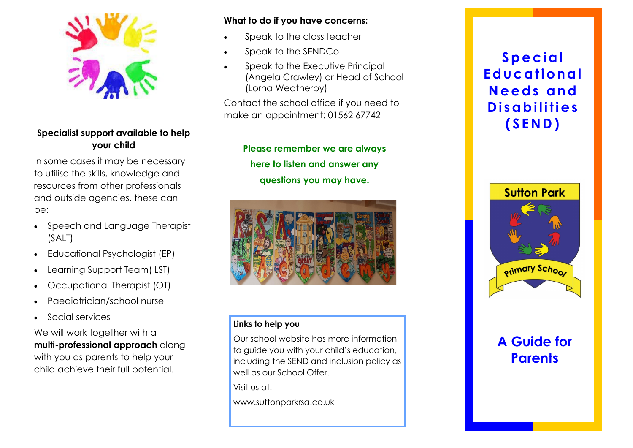

## **Specialist support available to help your child**

In some cases it may be necessary to utilise the skills, knowledge and resources from other professionals and outside agencies, these can be:

- Speech and Language Therapist (SALT)
- Educational Psychologist (EP)
- Learning Support Team( LST)
- Occupational Therapist (OT)
- Paediatrician/school nurse
- Social services

We will work together with a **multi-professional approach** along with you as parents to help your child achieve their full potential.

### **What to do if you have concerns:**

- Speak to the class teacher
- Speak to the SENDCo
- Speak to the Executive Principal (Angela Crawley) or Head of School (Lorna Weatherby)

Contact the school office if you need to make an appointment: 01562 67742

> **Please remember we are always here to listen and answer any questions you may have.**



## **Links to help you**

Our school website has more information to guide you with your child's education, including the SEND and inclusion policy as well as our School Offer.

Visit us at:

www.suttonparkrsa.co.uk

## **Special Educational Needs and Disabilities (SEND)**



# **A Guide for Parents**